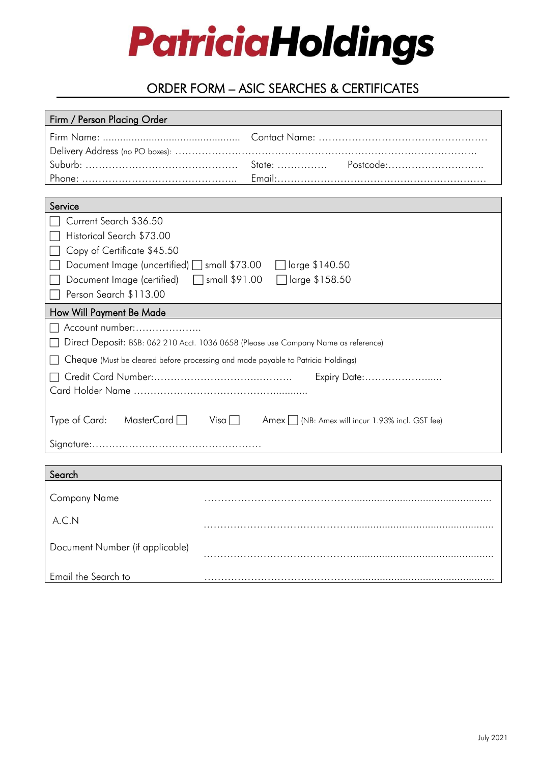# **PatriciaHoldings**

# ORDER FORM – ASIC SEARCHES & CERTIFICATES

| Firm / Person Placing Order                                                         |                                                                 |
|-------------------------------------------------------------------------------------|-----------------------------------------------------------------|
|                                                                                     |                                                                 |
|                                                                                     |                                                                 |
|                                                                                     |                                                                 |
|                                                                                     |                                                                 |
|                                                                                     |                                                                 |
| Service                                                                             |                                                                 |
| Current Search \$36.50                                                              |                                                                 |
| Historical Search \$73.00                                                           |                                                                 |
| Copy of Certificate \$45.50                                                         |                                                                 |
| Document Image (uncertified) □ small \$73.00<br>□ large \$140.50                    |                                                                 |
| Document Image (certified)<br>$\Box$ small \$91.00<br>Tlarge \$158.50               |                                                                 |
| Person Search \$113.00                                                              |                                                                 |
| How Will Payment Be Made                                                            |                                                                 |
| Account number:                                                                     |                                                                 |
| Direct Deposit: BSB: 062 210 Acct. 1036 0658 (Please use Company Name as reference) |                                                                 |
| Cheque (Must be cleared before processing and made payable to Patricia Holdings)    |                                                                 |
| Expiry Date:                                                                        |                                                                 |
|                                                                                     |                                                                 |
|                                                                                     |                                                                 |
| Type of Card:<br>MasterCard $\Box$                                                  | $Visa \Box$<br>Amex   (NB: Amex will incur 1.93% incl. GST fee) |
|                                                                                     |                                                                 |
|                                                                                     |                                                                 |
|                                                                                     |                                                                 |
| Search                                                                              |                                                                 |
| <b>Company Name</b>                                                                 |                                                                 |
|                                                                                     |                                                                 |
| A.C.N                                                                               |                                                                 |
|                                                                                     |                                                                 |
| Document Number (if applicable)                                                     |                                                                 |
|                                                                                     |                                                                 |
| Email the Search to                                                                 |                                                                 |